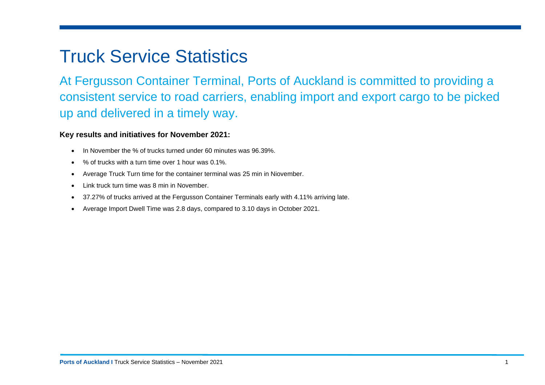# Truck Service Statistics

At Fergusson Container Terminal, Ports of Auckland is committed to providing a consistent service to road carriers, enabling import and export cargo to be picked up and delivered in a timely way.

## **Key results and initiatives for November 2021:**

- In November the % of trucks turned under 60 minutes was 96.39%.
- % of trucks with a turn time over 1 hour was 0.1%.
- Average Truck Turn time for the container terminal was 25 min in Niovember.
- Link truck turn time was 8 min in November.
- 37.27% of trucks arrived at the Fergusson Container Terminals early with 4.11% arriving late.
- Average Import Dwell Time was 2.8 days, compared to 3.10 days in October 2021.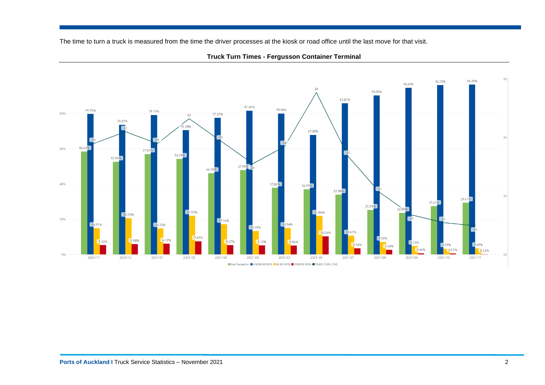The time to turn a truck is measured from the time the driver processes at the kiosk or road office until the last move for that visit.



**Truck Turn Times - Fergusson Container Terminal**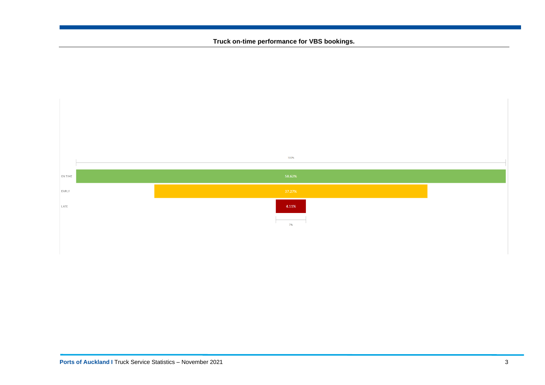#### **Truck on-time performance for VBS bookings.**

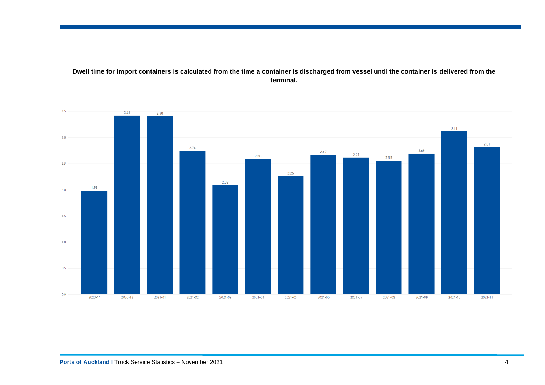### **Dwell time for import containers is calculated from the time a container is discharged from vessel until the container is delivered from the terminal.**